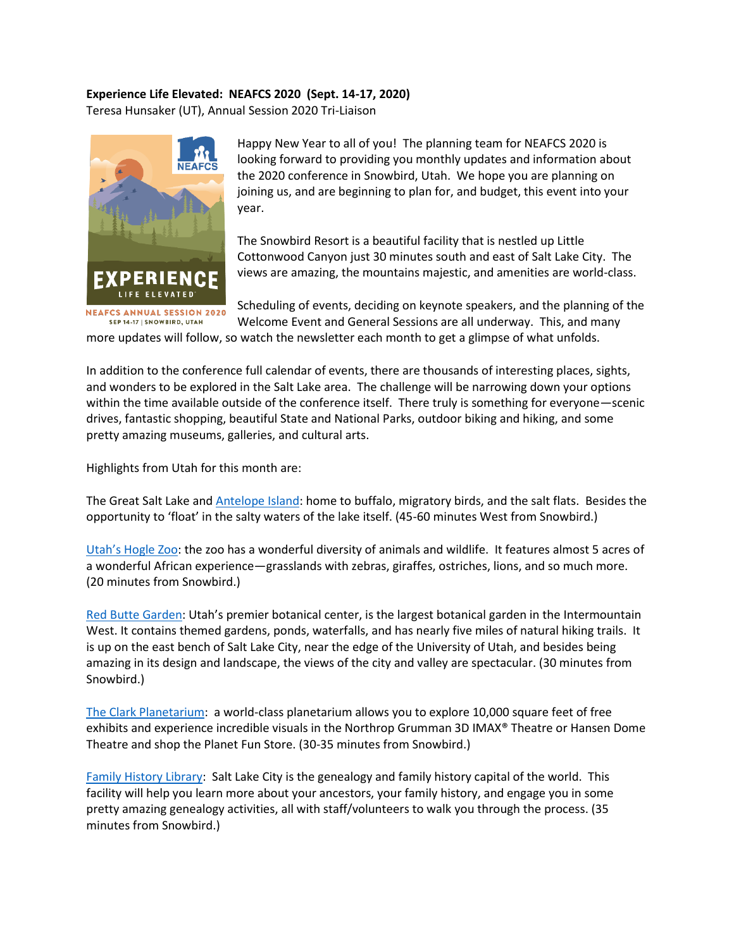## **Experience Life Elevated: NEAFCS 2020 (Sept. 14-17, 2020)**

Teresa Hunsaker (UT), Annual Session 2020 Tri-Liaison



Happy New Year to all of you! The planning team for NEAFCS 2020 is looking forward to providing you monthly updates and information about the 2020 conference in Snowbird, Utah. We hope you are planning on joining us, and are beginning to plan for, and budget, this event into your year.

The Snowbird Resort is a beautiful facility that is nestled up Little Cottonwood Canyon just 30 minutes south and east of Salt Lake City. The views are amazing, the mountains majestic, and amenities are world-class.

Scheduling of events, deciding on keynote speakers, and the planning of the Welcome Event and General Sessions are all underway. This, and many

more updates will follow, so watch the newsletter each month to get a glimpse of what unfolds.

In addition to the conference full calendar of events, there are thousands of interesting places, sights, and wonders to be explored in the Salt Lake area. The challenge will be narrowing down your options within the time available outside of the conference itself. There truly is something for everyone—scenic drives, fantastic shopping, beautiful State and National Parks, outdoor biking and hiking, and some pretty amazing museums, galleries, and cultural arts.

Highlights from Utah for this month are:

The Great Salt Lake and [Antelope Island:](https://stateparks.utah.gov/parks/antelope-island/) home to buffalo, migratory birds, and the salt flats. Besides the opportunity to 'float' in the salty waters of the lake itself. (45-60 minutes West from Snowbird.)

[Utah's Hogle Zoo](https://www.hoglezoo.org/): the zoo has a wonderful diversity of animals and wildlife. It features almost 5 acres of a wonderful African experience—grasslands with zebras, giraffes, ostriches, lions, and so much more. (20 minutes from Snowbird.)

[Red Butte Garden:](https://www.redbuttegarden.org/) Utah's premier botanical center, is the largest botanical garden in the Intermountain West. It contains themed gardens, ponds, waterfalls, and has nearly five miles of natural hiking trails. It is up on the east bench of Salt Lake City, near the edge of the University of Utah, and besides being amazing in its design and landscape, the views of the city and valley are spectacular. (30 minutes from Snowbird.)

[The Clark Planetarium:](https://slco.org/clark-planetarium/) a world-class planetarium allows you to explore 10,000 square feet of free exhibits and experience incredible visuals in the Northrop Grumman 3D IMAX® Theatre or Hansen Dome Theatre and shop the Planet Fun Store. (30-35 minutes from Snowbird.)

[Family History Library:](https://www.templesquare.com/explore/family-history-library/) Salt Lake City is the genealogy and family history capital of the world. This facility will help you learn more about your ancestors, your family history, and engage you in some pretty amazing genealogy activities, all with staff/volunteers to walk you through the process. (35 minutes from Snowbird.)